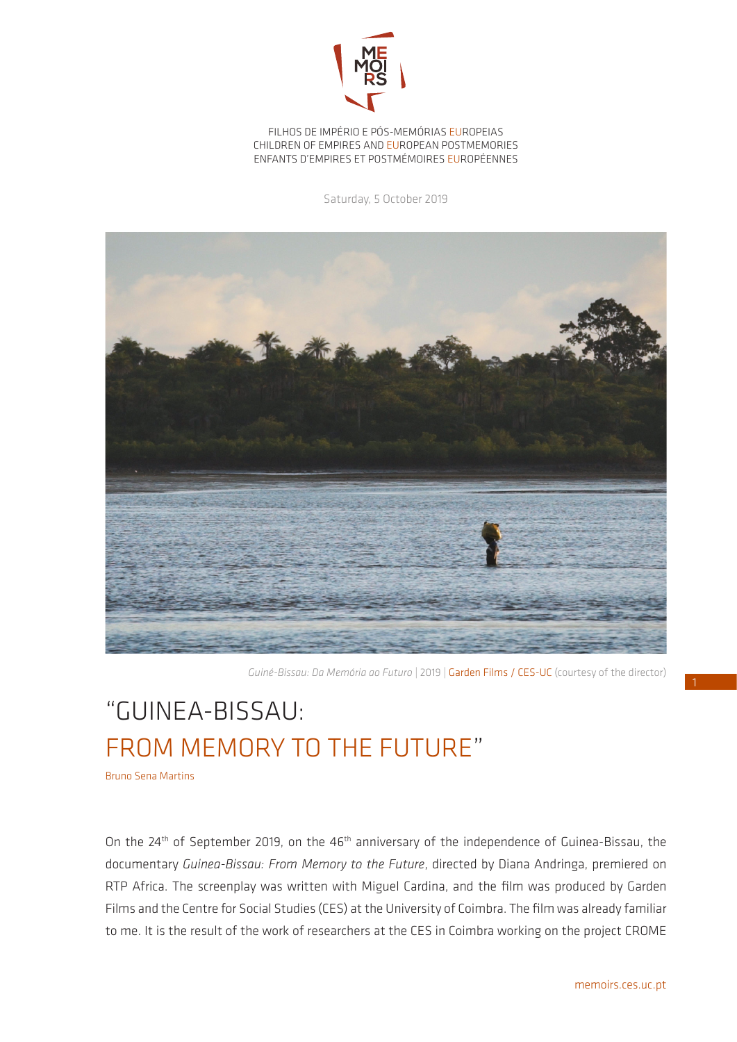

FILHOS DE IMPÉRIO E PÓS-MEMÓRIAS EUROPEIAS CHILDREN OF EMPIRES AND EUROPEAN POSTMEMORIES ENFANTS D'EMPIRES ET POSTMÉMOIRES EUROPÉENNES

Saturday, 5 October 2019



*Guiné-Bissau: Da Memória ao Futuro* | 2019 | Garden Films / CES-UC (courtesy of the director)

## "GUINEA-BISSAU: FROM MEMORY TO THE FUTURE"

Bruno Sena Martins

On the 24<sup>th</sup> of September 2019, on the 46<sup>th</sup> anniversary of the independence of Guinea-Bissau, the documentary *Guinea-Bissau: From Memory to the Future*, directed by Diana Andringa, premiered on RTP Africa. The screenplay was written with Miguel Cardina, and the film was produced by Garden Films and the Centre for Social Studies (CES) at the University of Coimbra. The film was already familiar to me. It is the result of the work of researchers at the CES in Coimbra working on the project CROME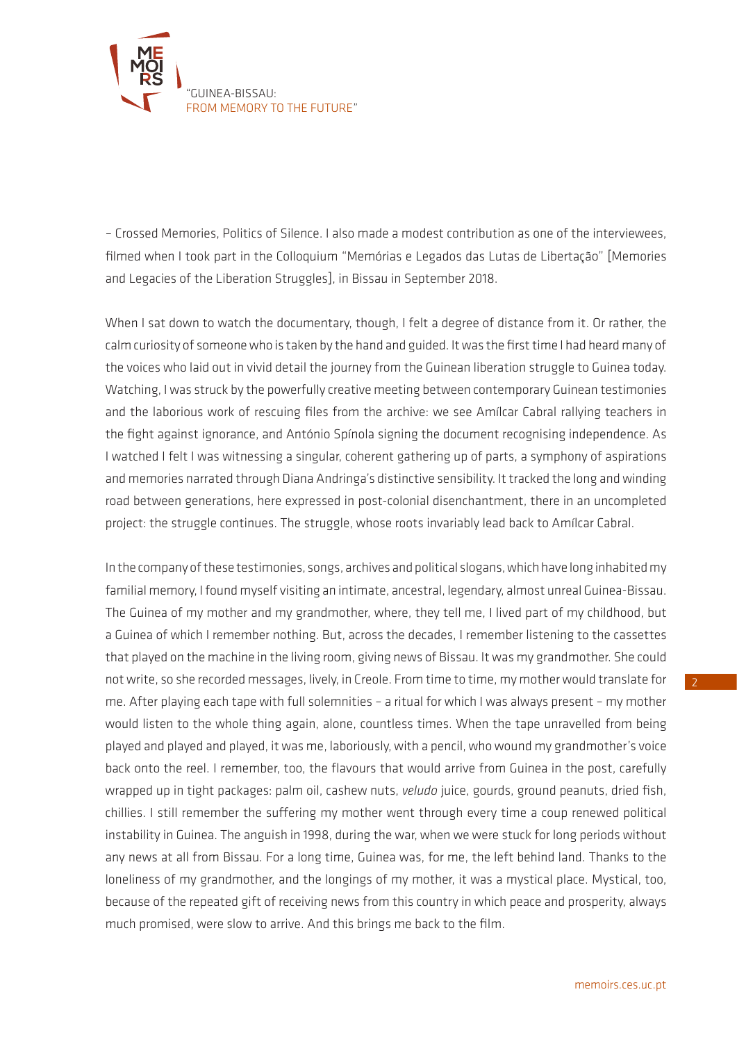

– Crossed Memories, Politics of Silence. I also made a modest contribution as one of the interviewees, filmed when I took part in the Colloquium "Memórias e Legados das Lutas de Libertação" [Memories and Legacies of the Liberation Struggles], in Bissau in September 2018.

When I sat down to watch the documentary, though, I felt a degree of distance from it. Or rather, the calm curiosity of someone who is taken by the hand and guided. It was the first time I had heard many of the voices who laid out in vivid detail the journey from the Guinean liberation struggle to Guinea today. Watching, I was struck by the powerfully creative meeting between contemporary Guinean testimonies and the laborious work of rescuing files from the archive: we see Amílcar Cabral rallying teachers in the fight against ignorance, and António Spínola signing the document recognising independence. As I watched I felt I was witnessing a singular, coherent gathering up of parts, a symphony of aspirations and memories narrated through Diana Andringa's distinctive sensibility. It tracked the long and winding road between generations, here expressed in post-colonial disenchantment, there in an uncompleted project: the struggle continues. The struggle, whose roots invariably lead back to Amílcar Cabral.

In the company of these testimonies, songs, archives and political slogans, which have long inhabited my familial memory, I found myself visiting an intimate, ancestral, legendary, almost unreal Guinea-Bissau. The Guinea of my mother and my grandmother, where, they tell me, I lived part of my childhood, but a Guinea of which I remember nothing. But, across the decades, I remember listening to the cassettes that played on the machine in the living room, giving news of Bissau. It was my grandmother. She could not write, so she recorded messages, lively, in Creole. From time to time, my mother would translate for me. After playing each tape with full solemnities – a ritual for which I was always present – my mother would listen to the whole thing again, alone, countless times. When the tape unravelled from being played and played and played, it was me, laboriously, with a pencil, who wound my grandmother's voice back onto the reel. I remember, too, the flavours that would arrive from Guinea in the post, carefully wrapped up in tight packages: palm oil, cashew nuts, *veludo* juice, gourds, ground peanuts, dried fish, chillies. I still remember the suffering my mother went through every time a coup renewed political instability in Guinea. The anguish in 1998, during the war, when we were stuck for long periods without any news at all from Bissau. For a long time, Guinea was, for me, the left behind land. Thanks to the loneliness of my grandmother, and the longings of my mother, it was a mystical place. Mystical, too, because of the repeated gift of receiving news from this country in which peace and prosperity, always much promised, were slow to arrive. And this brings me back to the film.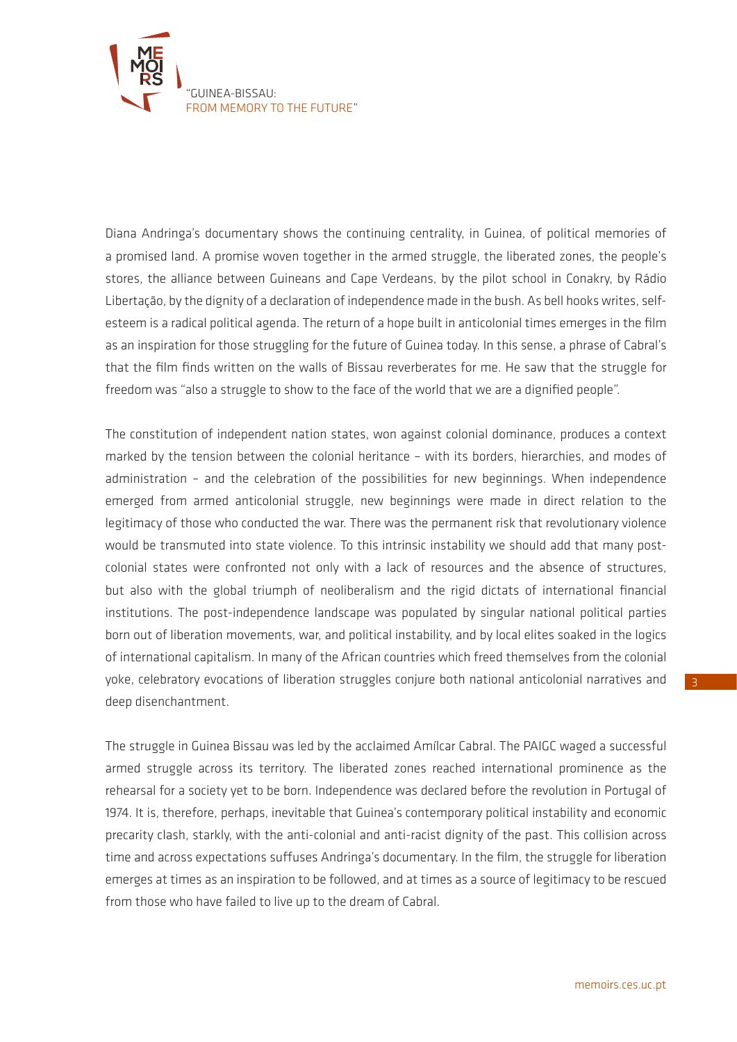

Diana Andringa's documentary shows the continuing centrality, in Guinea, of political memories of a promised land. A promise woven together in the armed struggle, the liberated zones, the people's stores, the alliance between Guineans and Cape Verdeans, by the pilot school in Conakry, by Rádio Libertação, by the dignity of a declaration of independence made in the bush. As bell hooks writes, selfesteem is a radical political agenda. The return of a hope built in anticolonial times emerges in the film as an inspiration for those struggling for the future of Guinea today. In this sense, a phrase of Cabral's that the film finds written on the walls of Bissau reverberates for me. He saw that the struggle for freedom was "also a struggle to show to the face of the world that we are a dignified people".

The constitution of independent nation states, won against colonial dominance, produces a context marked by the tension between the colonial heritance – with its borders, hierarchies, and modes of administration – and the celebration of the possibilities for new beginnings. When independence emerged from armed anticolonial struggle, new beginnings were made in direct relation to the legitimacy of those who conducted the war. There was the permanent risk that revolutionary violence would be transmuted into state violence. To this intrinsic instability we should add that many postcolonial states were confronted not only with a lack of resources and the absence of structures, but also with the global triumph of neoliberalism and the rigid dictats of international financial institutions. The post-independence landscape was populated by singular national political parties born out of liberation movements, war, and political instability, and by local elites soaked in the logics of international capitalism. In many of the African countries which freed themselves from the colonial yoke, celebratory evocations of liberation struggles conjure both national anticolonial narratives and deep disenchantment.

The struggle in Guinea Bissau was led by the acclaimed Amílcar Cabral. The PAIGC waged a successful armed struggle across its territory. The liberated zones reached international prominence as the rehearsal for a society yet to be born. Independence was declared before the revolution in Portugal of 1974. It is, therefore, perhaps, inevitable that Guinea's contemporary political instability and economic precarity clash, starkly, with the anti-colonial and anti-racist dignity of the past. This collision across time and across expectations suffuses Andringa's documentary. In the film, the struggle for liberation emerges at times as an inspiration to be followed, and at times as a source of legitimacy to be rescued from those who have failed to live up to the dream of Cabral.